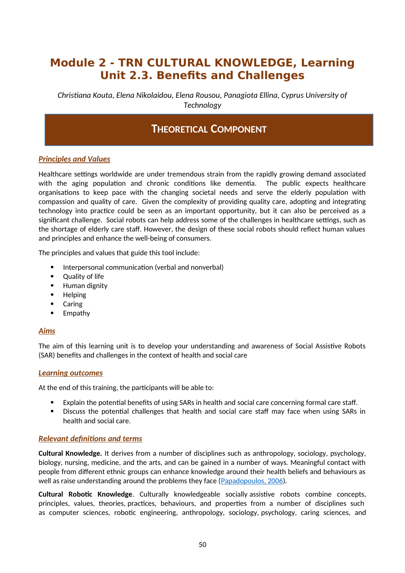# **Module 2 - TRN CULTURAL KNOWLEDGE, Learning Unit 2.3. Benefits and Challenges**

*Christiana Kouta, Elena Nikolaidou, Elena Rousou, Panagiota Ellina, Cyprus University of Technology*

## **THEORETICAL COMPONENT**

### *Principles and Values*

Healthcare settings worldwide are under tremendous strain from the rapidly growing demand associated with the aging population and chronic conditions like dementia. The public expects healthcare organisations to keep pace with the changing societal needs and serve the elderly population with compassion and quality of care. Given the complexity of providing quality care, adopting and integrating technology into practice could be seen as an important opportunity, but it can also be perceived as a significant challenge. Social robots can help address some of the challenges in healthcare settings, such as the shortage of elderly care staff. However, the design of these social robots should reflect human values and principles and enhance the well-being of consumers.

The principles and values that guide this tool include:

- Interpersonal communication (verbal and nonverbal)
- Quality of life
- Human dignity
- Helping
- Caring
- Empathy

### *Aims*

The aim of this learning unit is to develop your understanding and awareness of Social Assistive Robots (SAR) benefits and challenges in the context of health and social care

### *Learning outcomes*

At the end of this training, the participants will be able to:

- Explain the potential benefits of using SARs in health and social care concerning formal care staff.
- Discuss the potential challenges that health and social care staff may face when using SARs in health and social care.

### *Relevant definitions and terms*

**Cultural Knowledge.** It derives from a number of disciplines such as anthropology, sociology, psychology, biology, nursing, medicine, and the arts, and can be gained in a number of ways. Meaningful contact with people from different ethnic groups can enhance knowledge around their health beliefs and behaviours as well as raise understanding around the problems they face ([Papadopoulos, 2006](https://www.researchgate.net/publication/285849542_The_Papadopoulos_Tilki_and_Taylor_model_for_the_development_of_cultural_competence_in_nursing)).

**Cultural Robotic Knowledge**. Culturally knowledgeable socially assistive robots combine concepts, principles, values, theories, practices, behaviours, and properties from a number of disciplines such as computer sciences, robotic engineering, anthropology, sociology, psychology, caring sciences, and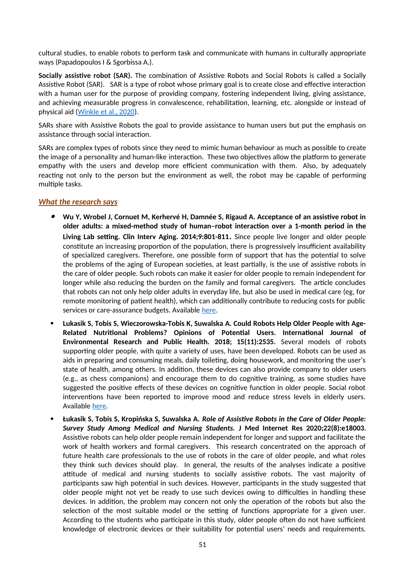cultural studies, to enable robots to perform task and communicate with humans in culturally appropriate ways (Papadopoulos I & Sgorbissa A.).

**Socially assistive robot (SAR).** The combination of Assistive Robots and Social Robots is called a Socially Assistive Robot (SAR). SAR is a type of robot whose primary goal is to create close and effective interaction with a human user for the purpose of providing company, fostering independent living, giving assistance, and achieving measurable progress in convalescence, rehabilitation, learning, etc. alongside or instead of physical aid [\(Winkle et al., 2020\)](https://www.researchgate.net/publication/331576322_Mutual_Shaping_in_the_Design_of_Socially_Assistive_Robots_A_Case_Study_on_Social_Robots_for_Therapy).

SARs share with Assistive Robots the goal to provide assistance to human users but put the emphasis on assistance through social interaction.

SARs are complex types of robots since they need to mimic human behaviour as much as possible to create the image of a personality and human-like interaction. These two objectives allow the platform to generate empathy with the users and develop more efficient communication with them. Also, by adequately reacting not only to the person but the environment as well, the robot may be capable of performing multiple tasks.

### *What the research says*

- $\bullet$  **Wu Y, Wrobel J, Cornuet M, Kerhervé H, Damnée S, Rigaud A. Acceptance of an assistive robot in older adults: a mixed-method study of human–robot interaction over a 1-month period in the Living Lab setting. Clin Interv Aging. 2014;9:801-811.** Since people live longer and older people constitute an increasing proportion of the population, there is progressively insufficient availability of specialized caregivers. Therefore, one possible form of support that has the potential to solve the problems of the aging of European societies, at least partially, is the use of assistive robots in the care of older people. Such robots can make it easier for older people to remain independent for longer while also reducing the burden on the family and formal caregivers. The article concludes that robots can not only help older adults in everyday life, but also be used in medical care (eg, for remote monitoring of patient health), which can additionally contribute to reducing costs for public services or care-assurance budgets. Available [here](https://www.dovepress.com/getfile.php?fileID=19938).
- **Lukasik S, Tobis S, Wieczorowska-Tobis K, Suwalska A. Could Robots Help Older People with Age-Related Nutritional Problems? Opinions of Potential Users. International Journal of Environmental Research and Public Health. 2018; 15(11):2535.** Several models of robots supporting older people, with quite a variety of uses, have been developed. Robots can be used as aids in preparing and consuming meals, daily toileting, doing housework, and monitoring the user's state of health, among others. In addition, these devices can also provide company to older users (e.g., as chess companions) and encourage them to do cognitive training, as some studies have suggested the positive effects of these devices on cognitive function in older people. Social robot interventions have been reported to improve mood and reduce stress levels in elderly users. Available [here](https://www.mdpi.com/1660-4601/15/11/2535/htm).
- **Łukasik S, Tobis S, Kropińska S, Suwalska A.** *Role of Assistive Robots in the Care of Older People: Survey Study Among Medical and Nursing Students.* **J Med Internet Res 2020;22(8):e18003.** Assistive robots can help older people remain independent for longer and support and facilitate the work of health workers and formal caregivers. This research concentrated on the approach of future health care professionals to the use of robots in the care of older people, and what roles they think such devices should play. In general, the results of the analyses indicate a positive attitude of medical and nursing students to socially assistive robots. The vast majority of participants saw high potential in such devices. However, participants in the study suggested that older people might not yet be ready to use such devices owing to difficulties in handling these devices. In addition, the problem may concern not only the operation of the robots but also the selection of the most suitable model or the setting of functions appropriate for a given user. According to the students who participate in this study, older people often do not have sufficient knowledge of electronic devices or their suitability for potential users' needs and requirements.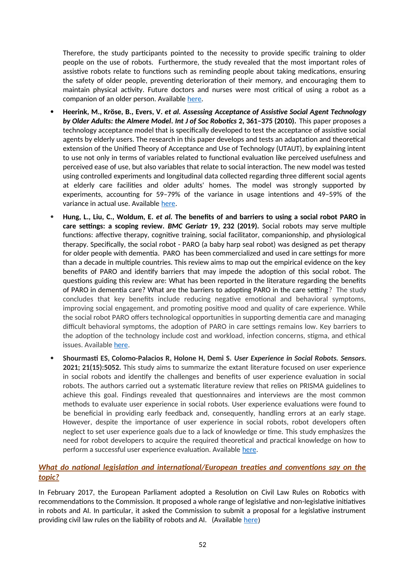Therefore, the study participants pointed to the necessity to provide specific training to older people on the use of robots. Furthermore, the study revealed that the most important roles of assistive robots relate to functions such as reminding people about taking medications, ensuring the safety of older people, preventing deterioration of their memory, and encouraging them to maintain physical activity. Future doctors and nurses were most critical of using a robot as a companion of an older person. Available [here](https://www.jmir.org/2020/8/e18003).

- **Heerink, M., Kröse, B., Evers, V.** *et al. Assessing Acceptance of Assistive Social Agent Technology by Older Adults: the Almere Model***.** *Int J of Soc Robotics* **2, 361–375 (2010).** This paper proposes a technology acceptance model that is specifically developed to test the acceptance of assistive social agents by elderly users. The research in this paper develops and tests an adaptation and theoretical extension of the Unified Theory of Acceptance and Use of Technology (UTAUT), by explaining intent to use not only in terms of variables related to functional evaluation like perceived usefulness and perceived ease of use, but also variables that relate to social interaction. The new model was tested using controlled experiments and longitudinal data collected regarding three different social agents at elderly care facilities and older adults' homes. The model was strongly supported by experiments, accounting for 59–79% of the variance in usage intentions and 49–59% of the variance in actual use. Available [here.](https://link.springer.com/content/pdf/10.1007/s12369-010-0068-5.pdf)
- **Hung, L., Liu, C., Woldum, E.** *et al.* **The benefits of and barriers to using a social robot PARO in care settings: a scoping review.** *BMC Geriatr* **19, 232 (2019).** Social robots may serve multiple functions: affective therapy, cognitive training, social facilitator, companionship, and physiological therapy. Specifically, the social robot - PARO (a baby harp seal robot) was designed as pet therapy for older people with dementia. PARO has been commercialized and used in care settings for more than a decade in multiple countries. This review aims to map out the empirical evidence on the key benefits of PARO and identify barriers that may impede the adoption of this social robot. The questions guiding this review are: What has been reported in the literature regarding the benefits of PARO in dementia care? What are the barriers to adopting PARO in the care setting? The study concludes that key benefits include reducing negative emotional and behavioral symptoms, improving social engagement, and promoting positive mood and quality of care experience. While the social robot PARO offers technological opportunities in supporting dementia care and managing difficult behavioral symptoms, the adoption of PARO in care settings remains low. Key barriers to the adoption of the technology include cost and workload, infection concerns, stigma, and ethical issues. Available [here](https://bmcgeriatr.biomedcentral.com/articles/10.1186/s12877-019-1244-6).
- **Shourmasti ES, Colomo-Palacios R, Holone H, Demi S.** *User Experience in Social Robots. Sensors.* **2021; 21(15):5052.** This study aims to summarize the extant literature focused on user experience in social robots and identify the challenges and benefits of user experience evaluation in social robots. The authors carried out a systematic literature review that relies on PRISMA guidelines to achieve this goal. Findings revealed that questionnaires and interviews are the most common methods to evaluate user experience in social robots. User experience evaluations were found to be beneficial in providing early feedback and, consequently, handling errors at an early stage. However, despite the importance of user experience in social robots, robot developers often neglect to set user experience goals due to a lack of knowledge or time. This study emphasizes the need for robot developers to acquire the required theoretical and practical knowledge on how to perform a successful user experience evaluation. Available [here.](https://www.mdpi.com/1424-8220/21/15/5052/htm)

### *What do national legislation and international/European treaties and conventions say on the topic?*

In February 2017, the European Parliament adopted a Resolution on Civil Law Rules on Robotics with recommendations to the Commission. It proposed a whole range of legislative and non-legislative initiatives in robots and AI. In particular, it asked the Commission to submit a proposal for a legislative instrument providing civil law rules on the liability of robots and AI. (Available [here](https://www.europarl.europa.eu/doceo/document/A-8-2017-0005_EN.pdf))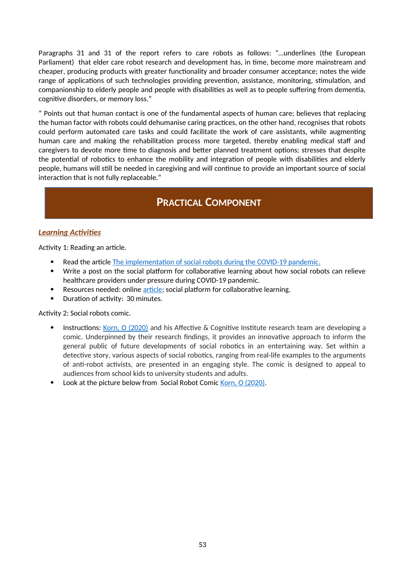Paragraphs 31 and 31 of the report refers to care robots as follows: "…underlines (the European Parliament) that elder care robot research and development has, in time, become more mainstream and cheaper, producing products with greater functionality and broader consumer acceptance; notes the wide range of applications of such technologies providing prevention, assistance, monitoring, stimulation, and companionship to elderly people and people with disabilities as well as to people suffering from dementia, cognitive disorders, or memory loss."

" Points out that human contact is one of the fundamental aspects of human care; believes that replacing the human factor with robots could dehumanise caring practices, on the other hand, recognises that robots could perform automated care tasks and could facilitate the work of care assistants, while augmenting human care and making the rehabilitation process more targeted, thereby enabling medical staff and caregivers to devote more time to diagnosis and better planned treatment options; stresses that despite the potential of robotics to enhance the mobility and integration of people with disabilities and elderly people, humans will still be needed in caregiving and will continue to provide an important source of social interaction that is not fully replaceable."

# **PRACTICAL COMPONENT**

### *Learning Activities*

Activity 1: Reading an article.

- Read the article The implementation of social robots during the COVID-19 pandemic.
- Write a post on the social platform for collaborative learning about how social robots can relieve healthcare providers under pressure during COVID-19 pandemic.
- Resources needed: online [article](https://arxiv.org/ftp/arxiv/papers/2007/2007.03941.pdf); social platform for collaborative learning.
- Duration of activity: 30 minutes.

Activity 2: Social robots comic.

- Instructions: Korn, O (2020) and his Affective & Cognitive Institute research team are developing a comic. Underpinned by their research findings, it provides an innovative approach to inform the general public of future developments of social robotics in an entertaining way. Set within a detective story, various aspects of social robotics, ranging from real-life examples to the arguments of anti-robot activists, are presented in an engaging style. The comic is designed to appeal to audiences from school kids to university students and adults.
- Look at the picture below from Social Robot Comic Korn, O (2020).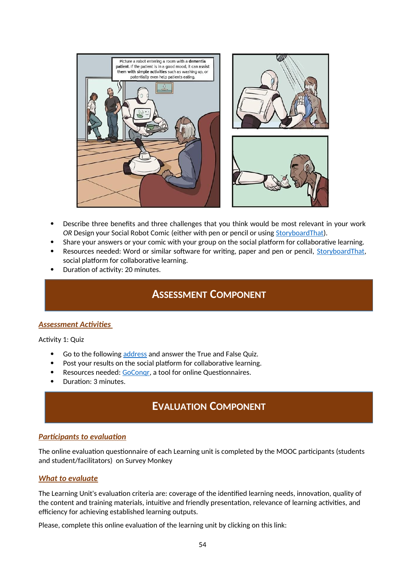

- Describe three benefits and three challenges that you think would be most relevant in your work *OR* Design your Social Robot Comic (either with pen or pencil or using [StoryboardThat\)](https://www.storyboardthat.com/it).
- Share your answers or your comic with your group on the social platform for collaborative learning.
- Resources needed: Word or similar software for writing, paper and pen or pencil, [StoryboardThat](https://www.storyboardthat.com/it), social platform for collaborative learning.
- Duration of activity: 20 minutes.

### **ASSESSMENT COMPONENT**

### *Assessment Activities*

Activity 1: Quiz

- Go to the following [address](https://www.goconqr.com/quiz/34241100/benefits-and-challenges-of-social-assistive-robots) and answer the True and False Quiz.
- Post your results on the social platform for collaborative learning.
- Resources needed: [GoConqr,](https://www.goconqr.com/) a tool for online Questionnaires.
- Duration: 3 minutes.

# **EVALUATION COMPONENT**

### *Participants to evaluation*

The online evaluation questionnaire of each Learning unit is completed by the MOOC participants (students and student/facilitators) on Survey Monkey

#### *What to evaluate*

The Learning Unit's evaluation criteria are: coverage of the identified learning needs, innovation, quality of the content and training materials, intuitive and friendly presentation, relevance of learning activities, and efficiency for achieving established learning outputs.

Please, complete this online evaluation of the learning unit by clicking on this link: